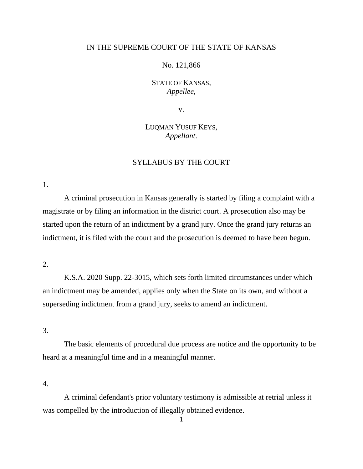## IN THE SUPREME COURT OF THE STATE OF KANSAS

No. 121,866

STATE OF KANSAS, *Appellee*,

v.

LUQMAN YUSUF KEYS, *Appellant*.

## SYLLABUS BY THE COURT

1.

A criminal prosecution in Kansas generally is started by filing a complaint with a magistrate or by filing an information in the district court. A prosecution also may be started upon the return of an indictment by a grand jury. Once the grand jury returns an indictment, it is filed with the court and the prosecution is deemed to have been begun.

## 2.

K.S.A. 2020 Supp. 22-3015, which sets forth limited circumstances under which an indictment may be amended, applies only when the State on its own, and without a superseding indictment from a grand jury, seeks to amend an indictment.

3.

The basic elements of procedural due process are notice and the opportunity to be heard at a meaningful time and in a meaningful manner.

4.

A criminal defendant's prior voluntary testimony is admissible at retrial unless it was compelled by the introduction of illegally obtained evidence.

1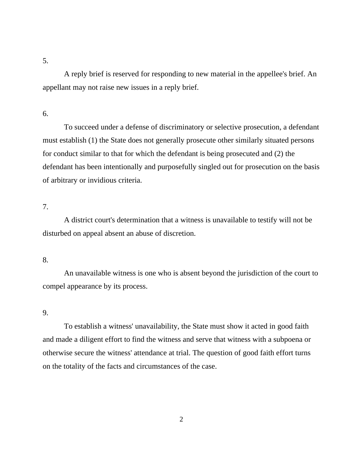A reply brief is reserved for responding to new material in the appellee's brief. An appellant may not raise new issues in a reply brief.

6.

To succeed under a defense of discriminatory or selective prosecution, a defendant must establish (1) the State does not generally prosecute other similarly situated persons for conduct similar to that for which the defendant is being prosecuted and (2) the defendant has been intentionally and purposefully singled out for prosecution on the basis of arbitrary or invidious criteria.

7.

A district court's determination that a witness is unavailable to testify will not be disturbed on appeal absent an abuse of discretion.

8.

An unavailable witness is one who is absent beyond the jurisdiction of the court to compel appearance by its process.

9.

To establish a witness' unavailability, the State must show it acted in good faith and made a diligent effort to find the witness and serve that witness with a subpoena or otherwise secure the witness' attendance at trial. The question of good faith effort turns on the totality of the facts and circumstances of the case.

2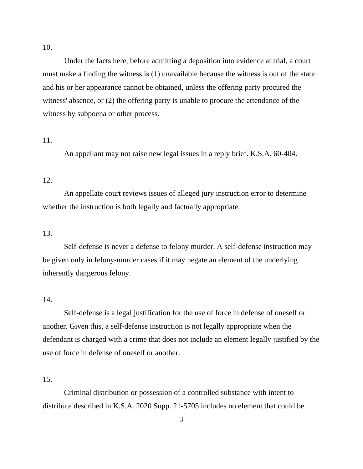10.

Under the facts here, before admitting a deposition into evidence at trial, a court must make a finding the witness is (1) unavailable because the witness is out of the state and his or her appearance cannot be obtained, unless the offering party procured the witness' absence, or (2) the offering party is unable to procure the attendance of the witness by subpoena or other process.

# 11.

An appellant may not raise new legal issues in a reply brief. K.S.A. 60-404.

# 12.

An appellate court reviews issues of alleged jury instruction error to determine whether the instruction is both legally and factually appropriate.

### 13.

Self-defense is never a defense to felony murder. A self-defense instruction may be given only in felony-murder cases if it may negate an element of the underlying inherently dangerous felony.

## 14.

Self-defense is a legal justification for the use of force in defense of oneself or another. Given this, a self-defense instruction is not legally appropriate when the defendant is charged with a crime that does not include an element legally justified by the use of force in defense of oneself or another.

## 15.

Criminal distribution or possession of a controlled substance with intent to distribute described in K.S.A. 2020 Supp. 21-5705 includes no element that could be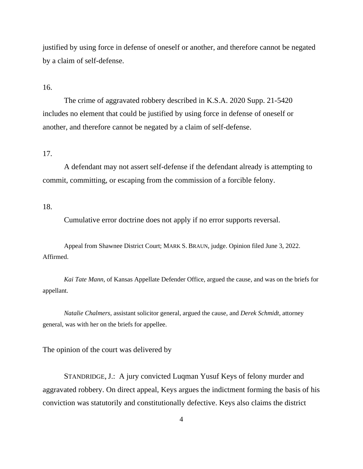justified by using force in defense of oneself or another, and therefore cannot be negated by a claim of self-defense.

16.

The crime of aggravated robbery described in K.S.A. 2020 Supp. 21-5420 includes no element that could be justified by using force in defense of oneself or another, and therefore cannot be negated by a claim of self-defense.

17.

A defendant may not assert self-defense if the defendant already is attempting to commit, committing, or escaping from the commission of a forcible felony.

18.

Cumulative error doctrine does not apply if no error supports reversal.

Appeal from Shawnee District Court; MARK S. BRAUN, judge. Opinion filed June 3, 2022. Affirmed.

*Kai Tate Mann*, of Kansas Appellate Defender Office, argued the cause, and was on the briefs for appellant.

*Natalie Chalmers*, assistant solicitor general, argued the cause, and *Derek Schmidt*, attorney general, was with her on the briefs for appellee.

The opinion of the court was delivered by

STANDRIDGE, J.: A jury convicted Luqman Yusuf Keys of felony murder and aggravated robbery. On direct appeal, Keys argues the indictment forming the basis of his conviction was statutorily and constitutionally defective. Keys also claims the district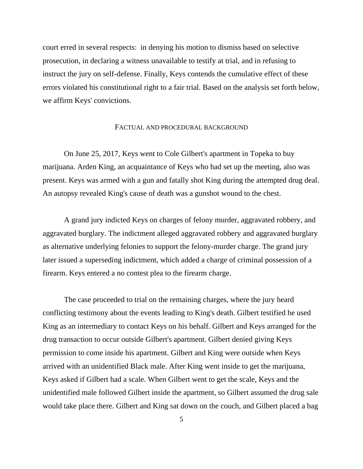court erred in several respects: in denying his motion to dismiss based on selective prosecution, in declaring a witness unavailable to testify at trial, and in refusing to instruct the jury on self-defense. Finally, Keys contends the cumulative effect of these errors violated his constitutional right to a fair trial. Based on the analysis set forth below, we affirm Keys' convictions.

### FACTUAL AND PROCEDURAL BACKGROUND

On June 25, 2017, Keys went to Cole Gilbert's apartment in Topeka to buy marijuana. Arden King, an acquaintance of Keys who had set up the meeting, also was present. Keys was armed with a gun and fatally shot King during the attempted drug deal. An autopsy revealed King's cause of death was a gunshot wound to the chest.

A grand jury indicted Keys on charges of felony murder, aggravated robbery, and aggravated burglary. The indictment alleged aggravated robbery and aggravated burglary as alternative underlying felonies to support the felony-murder charge. The grand jury later issued a superseding indictment, which added a charge of criminal possession of a firearm. Keys entered a no contest plea to the firearm charge.

The case proceeded to trial on the remaining charges, where the jury heard conflicting testimony about the events leading to King's death. Gilbert testified he used King as an intermediary to contact Keys on his behalf. Gilbert and Keys arranged for the drug transaction to occur outside Gilbert's apartment. Gilbert denied giving Keys permission to come inside his apartment. Gilbert and King were outside when Keys arrived with an unidentified Black male. After King went inside to get the marijuana, Keys asked if Gilbert had a scale. When Gilbert went to get the scale, Keys and the unidentified male followed Gilbert inside the apartment, so Gilbert assumed the drug sale would take place there. Gilbert and King sat down on the couch, and Gilbert placed a bag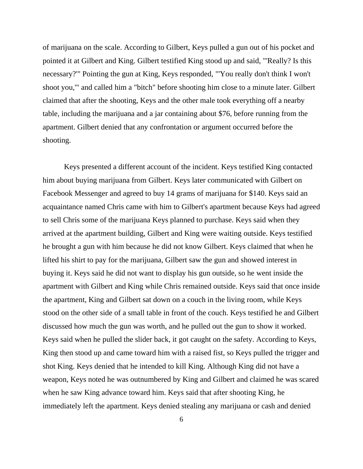of marijuana on the scale. According to Gilbert, Keys pulled a gun out of his pocket and pointed it at Gilbert and King. Gilbert testified King stood up and said, "'Really? Is this necessary?'" Pointing the gun at King, Keys responded, "'You really don't think I won't shoot you,'" and called him a "bitch" before shooting him close to a minute later. Gilbert claimed that after the shooting, Keys and the other male took everything off a nearby table, including the marijuana and a jar containing about \$76, before running from the apartment. Gilbert denied that any confrontation or argument occurred before the shooting.

Keys presented a different account of the incident. Keys testified King contacted him about buying marijuana from Gilbert. Keys later communicated with Gilbert on Facebook Messenger and agreed to buy 14 grams of marijuana for \$140. Keys said an acquaintance named Chris came with him to Gilbert's apartment because Keys had agreed to sell Chris some of the marijuana Keys planned to purchase. Keys said when they arrived at the apartment building, Gilbert and King were waiting outside. Keys testified he brought a gun with him because he did not know Gilbert. Keys claimed that when he lifted his shirt to pay for the marijuana, Gilbert saw the gun and showed interest in buying it. Keys said he did not want to display his gun outside, so he went inside the apartment with Gilbert and King while Chris remained outside. Keys said that once inside the apartment, King and Gilbert sat down on a couch in the living room, while Keys stood on the other side of a small table in front of the couch. Keys testified he and Gilbert discussed how much the gun was worth, and he pulled out the gun to show it worked. Keys said when he pulled the slider back, it got caught on the safety. According to Keys, King then stood up and came toward him with a raised fist, so Keys pulled the trigger and shot King. Keys denied that he intended to kill King. Although King did not have a weapon, Keys noted he was outnumbered by King and Gilbert and claimed he was scared when he saw King advance toward him. Keys said that after shooting King, he immediately left the apartment. Keys denied stealing any marijuana or cash and denied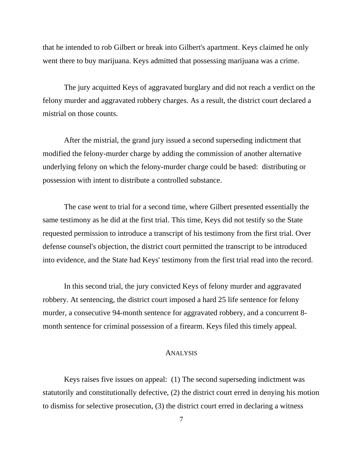that he intended to rob Gilbert or break into Gilbert's apartment. Keys claimed he only went there to buy marijuana. Keys admitted that possessing marijuana was a crime.

The jury acquitted Keys of aggravated burglary and did not reach a verdict on the felony murder and aggravated robbery charges. As a result, the district court declared a mistrial on those counts.

After the mistrial, the grand jury issued a second superseding indictment that modified the felony-murder charge by adding the commission of another alternative underlying felony on which the felony-murder charge could be based: distributing or possession with intent to distribute a controlled substance.

The case went to trial for a second time, where Gilbert presented essentially the same testimony as he did at the first trial. This time, Keys did not testify so the State requested permission to introduce a transcript of his testimony from the first trial. Over defense counsel's objection, the district court permitted the transcript to be introduced into evidence, and the State had Keys' testimony from the first trial read into the record.

In this second trial, the jury convicted Keys of felony murder and aggravated robbery. At sentencing, the district court imposed a hard 25 life sentence for felony murder, a consecutive 94-month sentence for aggravated robbery, and a concurrent 8 month sentence for criminal possession of a firearm. Keys filed this timely appeal.

### ANALYSIS

Keys raises five issues on appeal: (1) The second superseding indictment was statutorily and constitutionally defective, (2) the district court erred in denying his motion to dismiss for selective prosecution, (3) the district court erred in declaring a witness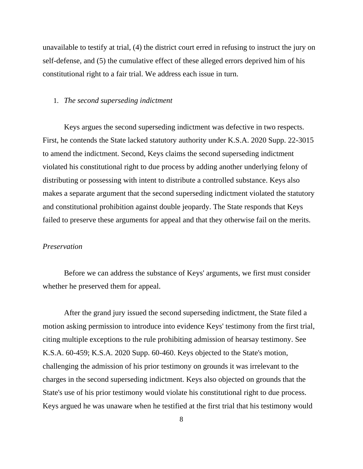unavailable to testify at trial, (4) the district court erred in refusing to instruct the jury on self-defense, and (5) the cumulative effect of these alleged errors deprived him of his constitutional right to a fair trial. We address each issue in turn.

### 1. *The second superseding indictment*

Keys argues the second superseding indictment was defective in two respects. First, he contends the State lacked statutory authority under K.S.A. 2020 Supp. 22-3015 to amend the indictment. Second, Keys claims the second superseding indictment violated his constitutional right to due process by adding another underlying felony of distributing or possessing with intent to distribute a controlled substance. Keys also makes a separate argument that the second superseding indictment violated the statutory and constitutional prohibition against double jeopardy. The State responds that Keys failed to preserve these arguments for appeal and that they otherwise fail on the merits.

#### *Preservation*

Before we can address the substance of Keys' arguments, we first must consider whether he preserved them for appeal.

After the grand jury issued the second superseding indictment, the State filed a motion asking permission to introduce into evidence Keys' testimony from the first trial, citing multiple exceptions to the rule prohibiting admission of hearsay testimony. See K.S.A. 60-459; K.S.A. 2020 Supp. 60-460. Keys objected to the State's motion, challenging the admission of his prior testimony on grounds it was irrelevant to the charges in the second superseding indictment. Keys also objected on grounds that the State's use of his prior testimony would violate his constitutional right to due process. Keys argued he was unaware when he testified at the first trial that his testimony would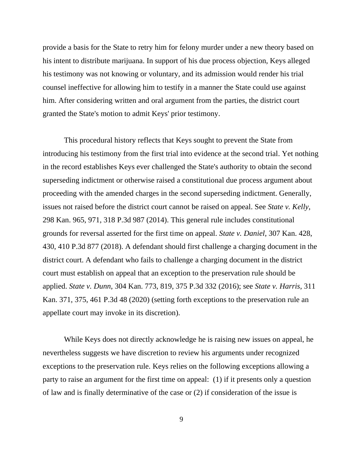provide a basis for the State to retry him for felony murder under a new theory based on his intent to distribute marijuana. In support of his due process objection, Keys alleged his testimony was not knowing or voluntary, and its admission would render his trial counsel ineffective for allowing him to testify in a manner the State could use against him. After considering written and oral argument from the parties, the district court granted the State's motion to admit Keys' prior testimony.

This procedural history reflects that Keys sought to prevent the State from introducing his testimony from the first trial into evidence at the second trial. Yet nothing in the record establishes Keys ever challenged the State's authority to obtain the second superseding indictment or otherwise raised a constitutional due process argument about proceeding with the amended charges in the second superseding indictment. Generally, issues not raised before the district court cannot be raised on appeal. See *State v. Kelly*, 298 Kan. 965, 971, 318 P.3d 987 (2014). This general rule includes constitutional grounds for reversal asserted for the first time on appeal. *State v. Daniel*, 307 Kan. 428, 430, 410 P.3d 877 (2018). A defendant should first challenge a charging document in the district court. A defendant who fails to challenge a charging document in the district court must establish on appeal that an exception to the preservation rule should be applied. *State v. Dunn*, 304 Kan. 773, 819, 375 P.3d 332 (2016); see *State v. Harris*, 311 Kan. 371, 375, 461 P.3d 48 (2020) (setting forth exceptions to the preservation rule an appellate court may invoke in its discretion).

While Keys does not directly acknowledge he is raising new issues on appeal, he nevertheless suggests we have discretion to review his arguments under recognized exceptions to the preservation rule. Keys relies on the following exceptions allowing a party to raise an argument for the first time on appeal: (1) if it presents only a question of law and is finally determinative of the case or (2) if consideration of the issue is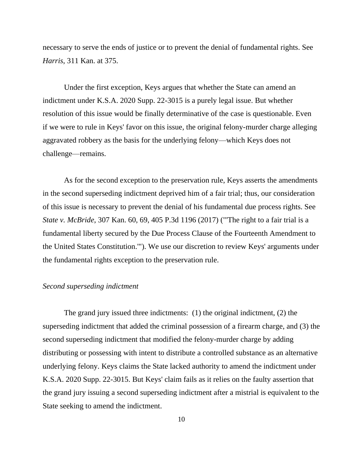necessary to serve the ends of justice or to prevent the denial of fundamental rights. See *Harris*, 311 Kan. at 375.

Under the first exception, Keys argues that whether the State can amend an indictment under K.S.A. 2020 Supp. 22-3015 is a purely legal issue. But whether resolution of this issue would be finally determinative of the case is questionable. Even if we were to rule in Keys' favor on this issue, the original felony-murder charge alleging aggravated robbery as the basis for the underlying felony—which Keys does not challenge—remains.

As for the second exception to the preservation rule, Keys asserts the amendments in the second superseding indictment deprived him of a fair trial; thus, our consideration of this issue is necessary to prevent the denial of his fundamental due process rights. See *State v. McBride*, 307 Kan. 60, 69, 405 P.3d 1196 (2017) ("'The right to a fair trial is a fundamental liberty secured by the Due Process Clause of the Fourteenth Amendment to the United States Constitution.'"). We use our discretion to review Keys' arguments under the fundamental rights exception to the preservation rule.

## *Second superseding indictment*

The grand jury issued three indictments: (1) the original indictment, (2) the superseding indictment that added the criminal possession of a firearm charge, and (3) the second superseding indictment that modified the felony-murder charge by adding distributing or possessing with intent to distribute a controlled substance as an alternative underlying felony. Keys claims the State lacked authority to amend the indictment under K.S.A. 2020 Supp. 22-3015. But Keys' claim fails as it relies on the faulty assertion that the grand jury issuing a second superseding indictment after a mistrial is equivalent to the State seeking to amend the indictment.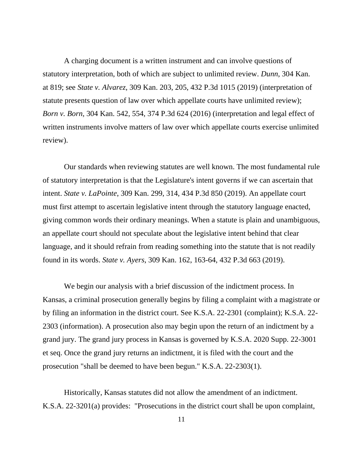A charging document is a written instrument and can involve questions of statutory interpretation, both of which are subject to unlimited review. *Dunn*, 304 Kan. at 819; see *State v. Alvarez*, 309 Kan. 203, 205, 432 P.3d 1015 (2019) (interpretation of statute presents question of law over which appellate courts have unlimited review); *Born v. Born*, 304 Kan. 542, 554, 374 P.3d 624 (2016) (interpretation and legal effect of written instruments involve matters of law over which appellate courts exercise unlimited review).

Our standards when reviewing statutes are well known. The most fundamental rule of statutory interpretation is that the Legislature's intent governs if we can ascertain that intent. *State v. LaPointe*, 309 Kan. 299, 314, 434 P.3d 850 (2019). An appellate court must first attempt to ascertain legislative intent through the statutory language enacted, giving common words their ordinary meanings. When a statute is plain and unambiguous, an appellate court should not speculate about the legislative intent behind that clear language, and it should refrain from reading something into the statute that is not readily found in its words. *State v. Ayers*, 309 Kan. 162, 163-64, 432 P.3d 663 (2019).

We begin our analysis with a brief discussion of the indictment process. In Kansas, a criminal prosecution generally begins by filing a complaint with a magistrate or by filing an information in the district court. See K.S.A. 22-2301 (complaint); K.S.A. 22- 2303 (information). A prosecution also may begin upon the return of an indictment by a grand jury. The grand jury process in Kansas is governed by K.S.A. 2020 Supp. 22-3001 et seq. Once the grand jury returns an indictment, it is filed with the court and the prosecution "shall be deemed to have been begun." K.S.A. 22-2303(1).

Historically, Kansas statutes did not allow the amendment of an indictment. K.S.A. 22-3201(a) provides: "Prosecutions in the district court shall be upon complaint,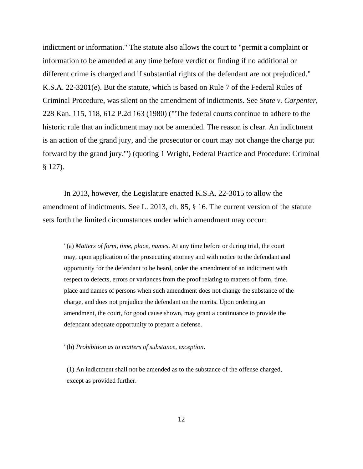indictment or information." The statute also allows the court to "permit a complaint or information to be amended at any time before verdict or finding if no additional or different crime is charged and if substantial rights of the defendant are not prejudiced." K.S.A. 22-3201(e). But the statute, which is based on Rule 7 of the Federal Rules of Criminal Procedure, was silent on the amendment of indictments. See *State v. Carpenter*, 228 Kan. 115, 118, 612 P.2d 163 (1980) ("'The federal courts continue to adhere to the historic rule that an indictment may not be amended. The reason is clear. An indictment is an action of the grand jury, and the prosecutor or court may not change the charge put forward by the grand jury.'") (quoting 1 Wright, Federal Practice and Procedure: Criminal § 127).

In 2013, however, the Legislature enacted K.S.A. 22-3015 to allow the amendment of indictments. See L. 2013, ch. 85, § 16. The current version of the statute sets forth the limited circumstances under which amendment may occur:

"(a) *Matters of form, time, place, names*. At any time before or during trial, the court may, upon application of the prosecuting attorney and with notice to the defendant and opportunity for the defendant to be heard, order the amendment of an indictment with respect to defects, errors or variances from the proof relating to matters of form, time, place and names of persons when such amendment does not change the substance of the charge, and does not prejudice the defendant on the merits. Upon ordering an amendment, the court, for good cause shown, may grant a continuance to provide the defendant adequate opportunity to prepare a defense.

"(b) *Prohibition as to matters of substance, exception*.

(1) An indictment shall not be amended as to the substance of the offense charged, except as provided further.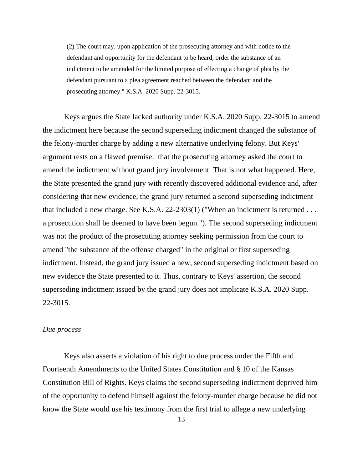(2) The court may, upon application of the prosecuting attorney and with notice to the defendant and opportunity for the defendant to be heard, order the substance of an indictment to be amended for the limited purpose of effecting a change of plea by the defendant pursuant to a plea agreement reached between the defendant and the prosecuting attorney." K.S.A. 2020 Supp. 22-3015.

Keys argues the State lacked authority under K.S.A. 2020 Supp. 22-3015 to amend the indictment here because the second superseding indictment changed the substance of the felony-murder charge by adding a new alternative underlying felony. But Keys' argument rests on a flawed premise: that the prosecuting attorney asked the court to amend the indictment without grand jury involvement. That is not what happened. Here, the State presented the grand jury with recently discovered additional evidence and, after considering that new evidence, the grand jury returned a second superseding indictment that included a new charge. See K.S.A. 22-2303(1) ("When an indictment is returned . . . a prosecution shall be deemed to have been begun."). The second superseding indictment was not the product of the prosecuting attorney seeking permission from the court to amend "the substance of the offense charged" in the original or first superseding indictment. Instead, the grand jury issued a new, second superseding indictment based on new evidence the State presented to it. Thus, contrary to Keys' assertion, the second superseding indictment issued by the grand jury does not implicate K.S.A. 2020 Supp. 22-3015.

### *Due process*

Keys also asserts a violation of his right to due process under the Fifth and Fourteenth Amendments to the United States Constitution and § 10 of the Kansas Constitution Bill of Rights. Keys claims the second superseding indictment deprived him of the opportunity to defend himself against the felony-murder charge because he did not know the State would use his testimony from the first trial to allege a new underlying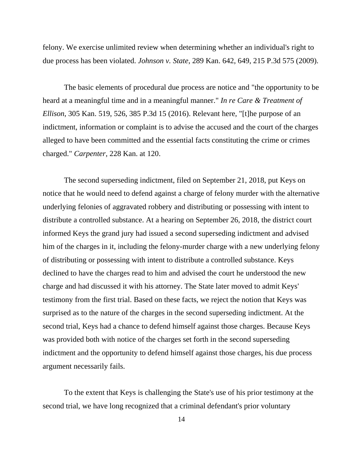felony. We exercise unlimited review when determining whether an individual's right to due process has been violated. *Johnson v. State*, 289 Kan. 642, 649, 215 P.3d 575 (2009).

The basic elements of procedural due process are notice and "the opportunity to be heard at a meaningful time and in a meaningful manner." *In re Care & Treatment of Ellison*, 305 Kan. 519, 526, 385 P.3d 15 (2016). Relevant here, "[t]he purpose of an indictment, information or complaint is to advise the accused and the court of the charges alleged to have been committed and the essential facts constituting the crime or crimes charged." *Carpenter*, 228 Kan. at 120.

The second superseding indictment, filed on September 21, 2018, put Keys on notice that he would need to defend against a charge of felony murder with the alternative underlying felonies of aggravated robbery and distributing or possessing with intent to distribute a controlled substance. At a hearing on September 26, 2018, the district court informed Keys the grand jury had issued a second superseding indictment and advised him of the charges in it, including the felony-murder charge with a new underlying felony of distributing or possessing with intent to distribute a controlled substance. Keys declined to have the charges read to him and advised the court he understood the new charge and had discussed it with his attorney. The State later moved to admit Keys' testimony from the first trial. Based on these facts, we reject the notion that Keys was surprised as to the nature of the charges in the second superseding indictment. At the second trial, Keys had a chance to defend himself against those charges. Because Keys was provided both with notice of the charges set forth in the second superseding indictment and the opportunity to defend himself against those charges, his due process argument necessarily fails.

To the extent that Keys is challenging the State's use of his prior testimony at the second trial, we have long recognized that a criminal defendant's prior voluntary

14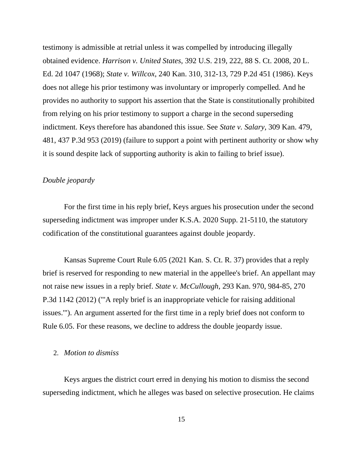testimony is admissible at retrial unless it was compelled by introducing illegally obtained evidence. *Harrison v. United States*, 392 U.S. 219, 222, 88 S. Ct. 2008, 20 L. Ed. 2d 1047 (1968); *State v. Willcox*, 240 Kan. 310, 312-13, 729 P.2d 451 (1986). Keys does not allege his prior testimony was involuntary or improperly compelled. And he provides no authority to support his assertion that the State is constitutionally prohibited from relying on his prior testimony to support a charge in the second superseding indictment. Keys therefore has abandoned this issue. See *State v. Salary*, 309 Kan. 479, 481, 437 P.3d 953 (2019) (failure to support a point with pertinent authority or show why it is sound despite lack of supporting authority is akin to failing to brief issue).

## *Double jeopardy*

For the first time in his reply brief, Keys argues his prosecution under the second superseding indictment was improper under K.S.A. 2020 Supp. 21-5110, the statutory codification of the constitutional guarantees against double jeopardy.

Kansas Supreme Court Rule 6.05 (2021 Kan. S. Ct. R. 37) provides that a reply brief is reserved for responding to new material in the appellee's brief. An appellant may not raise new issues in a reply brief. *State v. McCullough*, 293 Kan. 970, 984-85, 270 P.3d 1142 (2012) ("'A reply brief is an inappropriate vehicle for raising additional issues.'"). An argument asserted for the first time in a reply brief does not conform to Rule 6.05. For these reasons, we decline to address the double jeopardy issue.

## 2. *Motion to dismiss*

Keys argues the district court erred in denying his motion to dismiss the second superseding indictment, which he alleges was based on selective prosecution. He claims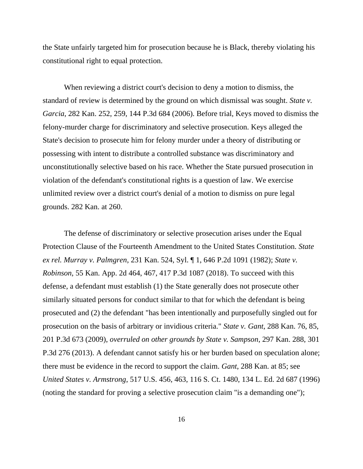the State unfairly targeted him for prosecution because he is Black, thereby violating his constitutional right to equal protection.

When reviewing a district court's decision to deny a motion to dismiss, the standard of review is determined by the ground on which dismissal was sought. *State v. Garcia*, 282 Kan. 252, 259, 144 P.3d 684 (2006). Before trial, Keys moved to dismiss the felony-murder charge for discriminatory and selective prosecution. Keys alleged the State's decision to prosecute him for felony murder under a theory of distributing or possessing with intent to distribute a controlled substance was discriminatory and unconstitutionally selective based on his race. Whether the State pursued prosecution in violation of the defendant's constitutional rights is a question of law. We exercise unlimited review over a district court's denial of a motion to dismiss on pure legal grounds. 282 Kan. at 260.

The defense of discriminatory or selective prosecution arises under the Equal Protection Clause of the Fourteenth Amendment to the United States Constitution. *State ex rel. Murray v. Palmgren*, 231 Kan. 524, Syl. ¶ 1, 646 P.2d 1091 (1982); *State v. Robinson*, 55 Kan. App. 2d 464, 467, 417 P.3d 1087 (2018). To succeed with this defense, a defendant must establish (1) the State generally does not prosecute other similarly situated persons for conduct similar to that for which the defendant is being prosecuted and (2) the defendant "has been intentionally and purposefully singled out for prosecution on the basis of arbitrary or invidious criteria." *State v. Gant*, 288 Kan. 76, 85, 201 P.3d 673 (2009), *overruled on other grounds by State v. Sampson*, 297 Kan. 288, 301 P.3d 276 (2013). A defendant cannot satisfy his or her burden based on speculation alone; there must be evidence in the record to support the claim. *Gant*, 288 Kan. at 85; see *United States v. Armstrong*, 517 U.S. 456, 463, 116 S. Ct. 1480, 134 L. Ed. 2d 687 (1996) (noting the standard for proving a selective prosecution claim "is a demanding one");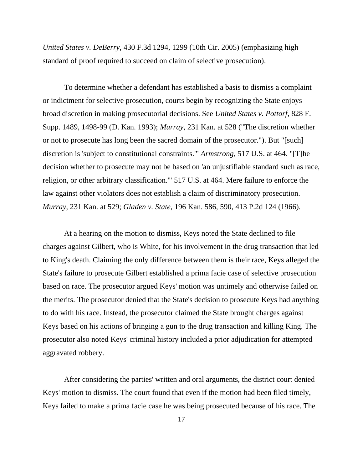*United States v. DeBerry*, 430 F.3d 1294, 1299 (10th Cir. 2005) (emphasizing high standard of proof required to succeed on claim of selective prosecution).

To determine whether a defendant has established a basis to dismiss a complaint or indictment for selective prosecution, courts begin by recognizing the State enjoys broad discretion in making prosecutorial decisions. See *United States v. Pottorf*, 828 F. Supp. 1489, 1498-99 (D. Kan. 1993); *Murray*, 231 Kan. at 528 ("The discretion whether or not to prosecute has long been the sacred domain of the prosecutor."). But "[such] discretion is 'subject to constitutional constraints.'" *Armstrong*, 517 U.S. at 464. "[T]he decision whether to prosecute may not be based on 'an unjustifiable standard such as race, religion, or other arbitrary classification.'" 517 U.S. at 464. Mere failure to enforce the law against other violators does not establish a claim of discriminatory prosecution. *Murray*, 231 Kan. at 529; *Gladen v. State*, 196 Kan. 586, 590, 413 P.2d 124 (1966).

At a hearing on the motion to dismiss, Keys noted the State declined to file charges against Gilbert, who is White, for his involvement in the drug transaction that led to King's death. Claiming the only difference between them is their race, Keys alleged the State's failure to prosecute Gilbert established a prima facie case of selective prosecution based on race. The prosecutor argued Keys' motion was untimely and otherwise failed on the merits. The prosecutor denied that the State's decision to prosecute Keys had anything to do with his race. Instead, the prosecutor claimed the State brought charges against Keys based on his actions of bringing a gun to the drug transaction and killing King. The prosecutor also noted Keys' criminal history included a prior adjudication for attempted aggravated robbery.

After considering the parties' written and oral arguments, the district court denied Keys' motion to dismiss. The court found that even if the motion had been filed timely, Keys failed to make a prima facie case he was being prosecuted because of his race. The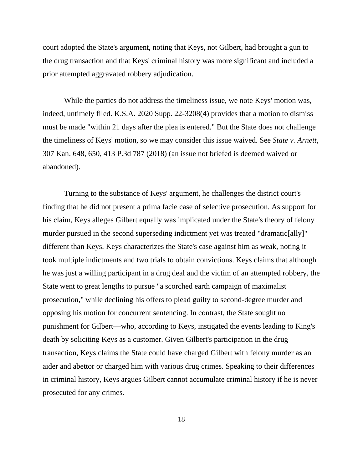court adopted the State's argument, noting that Keys, not Gilbert, had brought a gun to the drug transaction and that Keys' criminal history was more significant and included a prior attempted aggravated robbery adjudication.

While the parties do not address the timeliness issue, we note Keys' motion was, indeed, untimely filed. K.S.A. 2020 Supp. 22-3208(4) provides that a motion to dismiss must be made "within 21 days after the plea is entered." But the State does not challenge the timeliness of Keys' motion, so we may consider this issue waived. See *State v. Arnett*, 307 Kan. 648, 650, 413 P.3d 787 (2018) (an issue not briefed is deemed waived or abandoned).

Turning to the substance of Keys' argument, he challenges the district court's finding that he did not present a prima facie case of selective prosecution. As support for his claim, Keys alleges Gilbert equally was implicated under the State's theory of felony murder pursued in the second superseding indictment yet was treated "dramatic[ally]" different than Keys. Keys characterizes the State's case against him as weak, noting it took multiple indictments and two trials to obtain convictions. Keys claims that although he was just a willing participant in a drug deal and the victim of an attempted robbery, the State went to great lengths to pursue "a scorched earth campaign of maximalist prosecution," while declining his offers to plead guilty to second-degree murder and opposing his motion for concurrent sentencing. In contrast, the State sought no punishment for Gilbert—who, according to Keys, instigated the events leading to King's death by soliciting Keys as a customer. Given Gilbert's participation in the drug transaction, Keys claims the State could have charged Gilbert with felony murder as an aider and abettor or charged him with various drug crimes. Speaking to their differences in criminal history, Keys argues Gilbert cannot accumulate criminal history if he is never prosecuted for any crimes.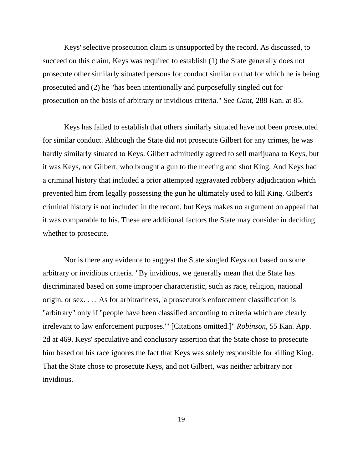Keys' selective prosecution claim is unsupported by the record. As discussed, to succeed on this claim, Keys was required to establish (1) the State generally does not prosecute other similarly situated persons for conduct similar to that for which he is being prosecuted and (2) he "has been intentionally and purposefully singled out for prosecution on the basis of arbitrary or invidious criteria." See *Gant*, 288 Kan. at 85.

Keys has failed to establish that others similarly situated have not been prosecuted for similar conduct. Although the State did not prosecute Gilbert for any crimes, he was hardly similarly situated to Keys. Gilbert admittedly agreed to sell marijuana to Keys, but it was Keys, not Gilbert, who brought a gun to the meeting and shot King. And Keys had a criminal history that included a prior attempted aggravated robbery adjudication which prevented him from legally possessing the gun he ultimately used to kill King. Gilbert's criminal history is not included in the record, but Keys makes no argument on appeal that it was comparable to his. These are additional factors the State may consider in deciding whether to prosecute.

Nor is there any evidence to suggest the State singled Keys out based on some arbitrary or invidious criteria. "By invidious, we generally mean that the State has discriminated based on some improper characteristic, such as race, religion, national origin, or sex. . . . As for arbitrariness, 'a prosecutor's enforcement classification is "arbitrary" only if "people have been classified according to criteria which are clearly irrelevant to law enforcement purposes."' [Citations omitted.]" *Robinson*, 55 Kan. App. 2d at 469. Keys' speculative and conclusory assertion that the State chose to prosecute him based on his race ignores the fact that Keys was solely responsible for killing King. That the State chose to prosecute Keys, and not Gilbert, was neither arbitrary nor invidious.

19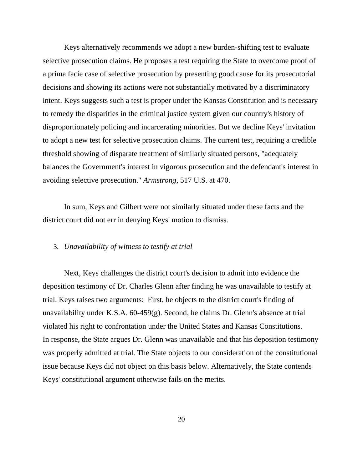Keys alternatively recommends we adopt a new burden-shifting test to evaluate selective prosecution claims. He proposes a test requiring the State to overcome proof of a prima facie case of selective prosecution by presenting good cause for its prosecutorial decisions and showing its actions were not substantially motivated by a discriminatory intent. Keys suggests such a test is proper under the Kansas Constitution and is necessary to remedy the disparities in the criminal justice system given our country's history of disproportionately policing and incarcerating minorities. But we decline Keys' invitation to adopt a new test for selective prosecution claims. The current test, requiring a credible threshold showing of disparate treatment of similarly situated persons, "adequately balances the Government's interest in vigorous prosecution and the defendant's interest in avoiding selective prosecution." *Armstrong*, 517 U.S. at 470.

In sum, Keys and Gilbert were not similarly situated under these facts and the district court did not err in denying Keys' motion to dismiss.

#### 3. *Unavailability of witness to testify at trial*

Next, Keys challenges the district court's decision to admit into evidence the deposition testimony of Dr. Charles Glenn after finding he was unavailable to testify at trial. Keys raises two arguments: First, he objects to the district court's finding of unavailability under K.S.A. 60-459(g). Second, he claims Dr. Glenn's absence at trial violated his right to confrontation under the United States and Kansas Constitutions. In response, the State argues Dr. Glenn was unavailable and that his deposition testimony was properly admitted at trial. The State objects to our consideration of the constitutional issue because Keys did not object on this basis below. Alternatively, the State contends Keys' constitutional argument otherwise fails on the merits.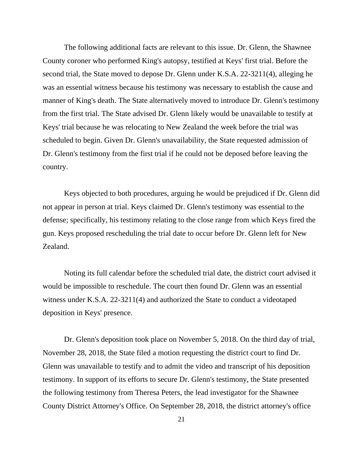The following additional facts are relevant to this issue. Dr. Glenn, the Shawnee County coroner who performed King's autopsy, testified at Keys' first trial. Before the second trial, the State moved to depose Dr. Glenn under K.S.A. 22-3211(4), alleging he was an essential witness because his testimony was necessary to establish the cause and manner of King's death. The State alternatively moved to introduce Dr. Glenn's testimony from the first trial. The State advised Dr. Glenn likely would be unavailable to testify at Keys' trial because he was relocating to New Zealand the week before the trial was scheduled to begin. Given Dr. Glenn's unavailability, the State requested admission of Dr. Glenn's testimony from the first trial if he could not be deposed before leaving the country.

Keys objected to both procedures, arguing he would be prejudiced if Dr. Glenn did not appear in person at trial. Keys claimed Dr. Glenn's testimony was essential to the defense; specifically, his testimony relating to the close range from which Keys fired the gun. Keys proposed rescheduling the trial date to occur before Dr. Glenn left for New Zealand.

Noting its full calendar before the scheduled trial date, the district court advised it would be impossible to reschedule. The court then found Dr. Glenn was an essential witness under K.S.A. 22-3211(4) and authorized the State to conduct a videotaped deposition in Keys' presence.

Dr. Glenn's deposition took place on November 5, 2018. On the third day of trial, November 28, 2018, the State filed a motion requesting the district court to find Dr. Glenn was unavailable to testify and to admit the video and transcript of his deposition testimony. In support of its efforts to secure Dr. Glenn's testimony, the State presented the following testimony from Theresa Peters, the lead investigator for the Shawnee County District Attorney's Office. On September 28, 2018, the district attorney's office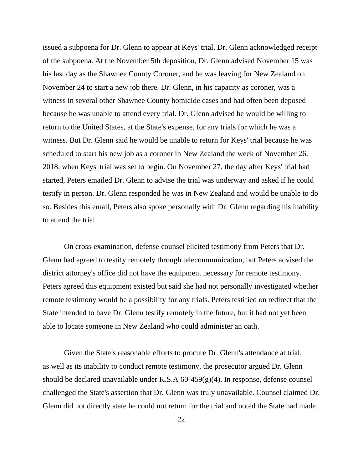issued a subpoena for Dr. Glenn to appear at Keys' trial. Dr. Glenn acknowledged receipt of the subpoena. At the November 5th deposition, Dr. Glenn advised November 15 was his last day as the Shawnee County Coroner, and he was leaving for New Zealand on November 24 to start a new job there. Dr. Glenn, in his capacity as coroner, was a witness in several other Shawnee County homicide cases and had often been deposed because he was unable to attend every trial. Dr. Glenn advised he would be willing to return to the United States, at the State's expense, for any trials for which he was a witness. But Dr. Glenn said he would be unable to return for Keys' trial because he was scheduled to start his new job as a coroner in New Zealand the week of November 26, 2018, when Keys' trial was set to begin. On November 27, the day after Keys' trial had started, Peters emailed Dr. Glenn to advise the trial was underway and asked if he could testify in person. Dr. Glenn responded he was in New Zealand and would be unable to do so. Besides this email, Peters also spoke personally with Dr. Glenn regarding his inability to attend the trial.

On cross-examination, defense counsel elicited testimony from Peters that Dr. Glenn had agreed to testify remotely through telecommunication, but Peters advised the district attorney's office did not have the equipment necessary for remote testimony. Peters agreed this equipment existed but said she had not personally investigated whether remote testimony would be a possibility for any trials. Peters testified on redirect that the State intended to have Dr. Glenn testify remotely in the future, but it had not yet been able to locate someone in New Zealand who could administer an oath.

Given the State's reasonable efforts to procure Dr. Glenn's attendance at trial, as well as its inability to conduct remote testimony, the prosecutor argued Dr. Glenn should be declared unavailable under K.S.A 60-459(g)(4). In response, defense counsel challenged the State's assertion that Dr. Glenn was truly unavailable. Counsel claimed Dr. Glenn did not directly state he could not return for the trial and noted the State had made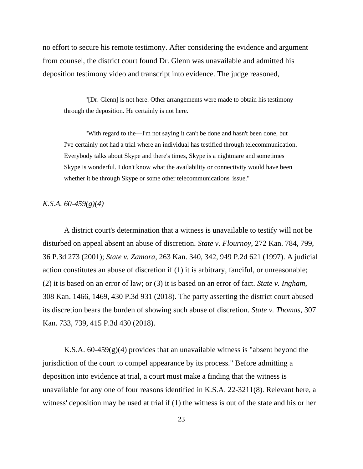no effort to secure his remote testimony. After considering the evidence and argument from counsel, the district court found Dr. Glenn was unavailable and admitted his deposition testimony video and transcript into evidence. The judge reasoned,

"[Dr. Glenn] is not here. Other arrangements were made to obtain his testimony through the deposition. He certainly is not here.

"With regard to the—I'm not saying it can't be done and hasn't been done, but I've certainly not had a trial where an individual has testified through telecommunication. Everybody talks about Skype and there's times, Skype is a nightmare and sometimes Skype is wonderful. I don't know what the availability or connectivity would have been whether it be through Skype or some other telecommunications' issue."

## *K.S.A. 60-459(g)(4)*

A district court's determination that a witness is unavailable to testify will not be disturbed on appeal absent an abuse of discretion. *State v. Flournoy*, 272 Kan. 784, 799, 36 P.3d 273 (2001); *State v. Zamora*, 263 Kan. 340, 342, 949 P.2d 621 (1997). A judicial action constitutes an abuse of discretion if (1) it is arbitrary, fanciful, or unreasonable; (2) it is based on an error of law; or (3) it is based on an error of fact. *State v. Ingham*, 308 Kan. 1466, 1469, 430 P.3d 931 (2018). The party asserting the district court abused its discretion bears the burden of showing such abuse of discretion. *State v. Thomas*, 307 Kan. 733, 739, 415 P.3d 430 (2018).

K.S.A.  $60-459(g)(4)$  provides that an unavailable witness is "absent beyond the jurisdiction of the court to compel appearance by its process." Before admitting a deposition into evidence at trial, a court must make a finding that the witness is unavailable for any one of four reasons identified in K.S.A. 22-3211(8). Relevant here, a witness' deposition may be used at trial if (1) the witness is out of the state and his or her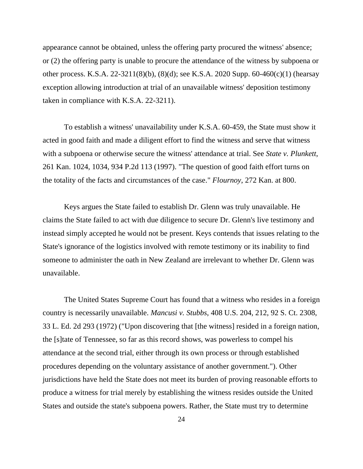appearance cannot be obtained, unless the offering party procured the witness' absence; or (2) the offering party is unable to procure the attendance of the witness by subpoena or other process. K.S.A. 22-3211(8)(b), (8)(d); see K.S.A. 2020 Supp. 60-460(c)(1) (hearsay exception allowing introduction at trial of an unavailable witness' deposition testimony taken in compliance with K.S.A. 22-3211).

To establish a witness' unavailability under K.S.A. 60-459, the State must show it acted in good faith and made a diligent effort to find the witness and serve that witness with a subpoena or otherwise secure the witness' attendance at trial. See *State v. Plunkett*, 261 Kan. 1024, 1034, 934 P.2d 113 (1997). "The question of good faith effort turns on the totality of the facts and circumstances of the case." *Flournoy*, 272 Kan. at 800.

Keys argues the State failed to establish Dr. Glenn was truly unavailable. He claims the State failed to act with due diligence to secure Dr. Glenn's live testimony and instead simply accepted he would not be present. Keys contends that issues relating to the State's ignorance of the logistics involved with remote testimony or its inability to find someone to administer the oath in New Zealand are irrelevant to whether Dr. Glenn was unavailable.

The United States Supreme Court has found that a witness who resides in a foreign country is necessarily unavailable. *Mancusi v. Stubbs*, 408 U.S. 204, 212, 92 S. Ct. 2308, 33 L. Ed. 2d 293 (1972) ("Upon discovering that [the witness] resided in a foreign nation, the [s]tate of Tennessee, so far as this record shows, was powerless to compel his attendance at the second trial, either through its own process or through established procedures depending on the voluntary assistance of another government."). Other jurisdictions have held the State does not meet its burden of proving reasonable efforts to produce a witness for trial merely by establishing the witness resides outside the United States and outside the state's subpoena powers. Rather, the State must try to determine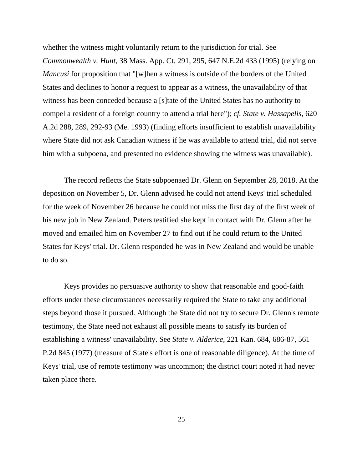whether the witness might voluntarily return to the jurisdiction for trial. See *Commonwealth v. Hunt*, 38 Mass. App. Ct. 291, 295, 647 N.E.2d 433 (1995) (relying on *Mancusi* for proposition that "[w]hen a witness is outside of the borders of the United States and declines to honor a request to appear as a witness, the unavailability of that witness has been conceded because a [s]tate of the United States has no authority to compel a resident of a foreign country to attend a trial here"); *cf. State v. Hassapelis*, 620 A.2d 288, 289, 292-93 (Me. 1993) (finding efforts insufficient to establish unavailability where State did not ask Canadian witness if he was available to attend trial, did not serve him with a subpoena, and presented no evidence showing the witness was unavailable).

The record reflects the State subpoenaed Dr. Glenn on September 28, 2018. At the deposition on November 5, Dr. Glenn advised he could not attend Keys' trial scheduled for the week of November 26 because he could not miss the first day of the first week of his new job in New Zealand. Peters testified she kept in contact with Dr. Glenn after he moved and emailed him on November 27 to find out if he could return to the United States for Keys' trial. Dr. Glenn responded he was in New Zealand and would be unable to do so.

Keys provides no persuasive authority to show that reasonable and good-faith efforts under these circumstances necessarily required the State to take any additional steps beyond those it pursued. Although the State did not try to secure Dr. Glenn's remote testimony, the State need not exhaust all possible means to satisfy its burden of establishing a witness' unavailability. See *State v. Alderice*, 221 Kan. 684, 686-87, 561 P.2d 845 (1977) (measure of State's effort is one of reasonable diligence). At the time of Keys' trial, use of remote testimony was uncommon; the district court noted it had never taken place there.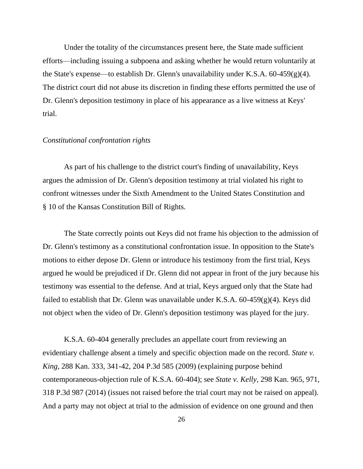Under the totality of the circumstances present here, the State made sufficient efforts—including issuing a subpoena and asking whether he would return voluntarily at the State's expense—to establish Dr. Glenn's unavailability under K.S.A.  $60-459(g)(4)$ . The district court did not abuse its discretion in finding these efforts permitted the use of Dr. Glenn's deposition testimony in place of his appearance as a live witness at Keys' trial.

## *Constitutional confrontation rights*

As part of his challenge to the district court's finding of unavailability, Keys argues the admission of Dr. Glenn's deposition testimony at trial violated his right to confront witnesses under the Sixth Amendment to the United States Constitution and § 10 of the Kansas Constitution Bill of Rights.

The State correctly points out Keys did not frame his objection to the admission of Dr. Glenn's testimony as a constitutional confrontation issue. In opposition to the State's motions to either depose Dr. Glenn or introduce his testimony from the first trial, Keys argued he would be prejudiced if Dr. Glenn did not appear in front of the jury because his testimony was essential to the defense. And at trial, Keys argued only that the State had failed to establish that Dr. Glenn was unavailable under K.S.A.  $60-459(g)(4)$ . Keys did not object when the video of Dr. Glenn's deposition testimony was played for the jury.

K.S.A. 60-404 generally precludes an appellate court from reviewing an evidentiary challenge absent a timely and specific objection made on the record. *State v. King*, 288 Kan. 333, 341-42, 204 P.3d 585 (2009) (explaining purpose behind contemporaneous-objection rule of K.S.A. 60-404); see *State v. Kelly*, 298 Kan. 965, 971, 318 P.3d 987 (2014) (issues not raised before the trial court may not be raised on appeal). And a party may not object at trial to the admission of evidence on one ground and then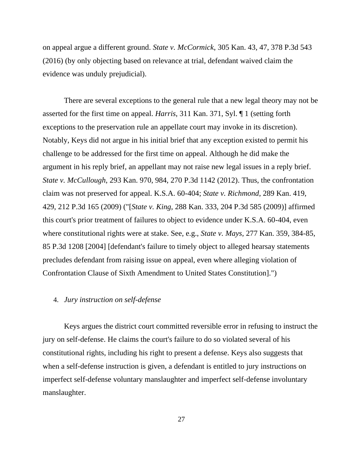on appeal argue a different ground. *State v. McCormick*, 305 Kan. 43, 47, 378 P.3d 543 (2016) (by only objecting based on relevance at trial, defendant waived claim the evidence was unduly prejudicial).

There are several exceptions to the general rule that a new legal theory may not be asserted for the first time on appeal. *Harris*, 311 Kan. 371, Syl. ¶ 1 (setting forth exceptions to the preservation rule an appellate court may invoke in its discretion). Notably, Keys did not argue in his initial brief that any exception existed to permit his challenge to be addressed for the first time on appeal. Although he did make the argument in his reply brief, an appellant may not raise new legal issues in a reply brief. *State v. McCullough*, 293 Kan. 970, 984, 270 P.3d 1142 (2012). Thus, the confrontation claim was not preserved for appeal. K.S.A. 60-404; *State v. Richmond*, 289 Kan. 419, 429, 212 P.3d 165 (2009) ("[*State v. King*, 288 Kan. 333, 204 P.3d 585 (2009)] affirmed this court's prior treatment of failures to object to evidence under K.S.A. 60-404, even where constitutional rights were at stake. See, e.g., *State v. Mays*, 277 Kan. 359, 384-85, 85 P.3d 1208 [2004] [defendant's failure to timely object to alleged hearsay statements precludes defendant from raising issue on appeal, even where alleging violation of Confrontation Clause of Sixth Amendment to United States Constitution].")

## 4. *Jury instruction on self-defense*

Keys argues the district court committed reversible error in refusing to instruct the jury on self-defense. He claims the court's failure to do so violated several of his constitutional rights, including his right to present a defense. Keys also suggests that when a self-defense instruction is given, a defendant is entitled to jury instructions on imperfect self-defense voluntary manslaughter and imperfect self-defense involuntary manslaughter.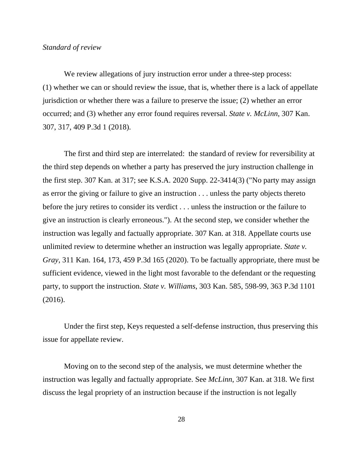## *Standard of review*

We review allegations of jury instruction error under a three-step process: (1) whether we can or should review the issue, that is, whether there is a lack of appellate jurisdiction or whether there was a failure to preserve the issue; (2) whether an error occurred; and (3) whether any error found requires reversal. *State v. McLinn*, 307 Kan. 307, 317, 409 P.3d 1 (2018).

The first and third step are interrelated: the standard of review for reversibility at the third step depends on whether a party has preserved the jury instruction challenge in the first step. 307 Kan. at 317; see K.S.A. 2020 Supp. 22-3414(3) ("No party may assign as error the giving or failure to give an instruction . . . unless the party objects thereto before the jury retires to consider its verdict . . . unless the instruction or the failure to give an instruction is clearly erroneous."). At the second step, we consider whether the instruction was legally and factually appropriate. 307 Kan. at 318. Appellate courts use unlimited review to determine whether an instruction was legally appropriate. *State v. Gray*, 311 Kan. 164, 173, 459 P.3d 165 (2020). To be factually appropriate, there must be sufficient evidence, viewed in the light most favorable to the defendant or the requesting party, to support the instruction. *State v. Williams*, 303 Kan. 585, 598-99, 363 P.3d 1101 (2016).

Under the first step, Keys requested a self-defense instruction, thus preserving this issue for appellate review.

Moving on to the second step of the analysis, we must determine whether the instruction was legally and factually appropriate. See *McLinn*, 307 Kan. at 318. We first discuss the legal propriety of an instruction because if the instruction is not legally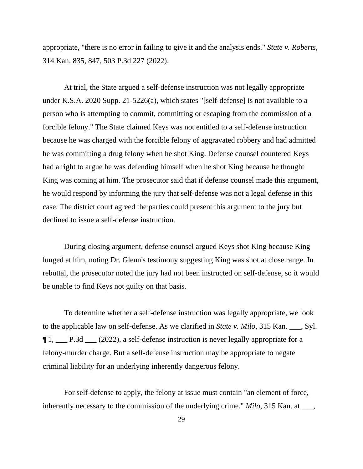appropriate, "there is no error in failing to give it and the analysis ends." *State v. Roberts*, 314 Kan. 835, 847, 503 P.3d 227 (2022).

At trial, the State argued a self-defense instruction was not legally appropriate under K.S.A. 2020 Supp. 21-5226(a), which states "[self-defense] is not available to a person who is attempting to commit, committing or escaping from the commission of a forcible felony." The State claimed Keys was not entitled to a self-defense instruction because he was charged with the forcible felony of aggravated robbery and had admitted he was committing a drug felony when he shot King. Defense counsel countered Keys had a right to argue he was defending himself when he shot King because he thought King was coming at him. The prosecutor said that if defense counsel made this argument, he would respond by informing the jury that self-defense was not a legal defense in this case. The district court agreed the parties could present this argument to the jury but declined to issue a self-defense instruction.

During closing argument, defense counsel argued Keys shot King because King lunged at him, noting Dr. Glenn's testimony suggesting King was shot at close range. In rebuttal, the prosecutor noted the jury had not been instructed on self-defense, so it would be unable to find Keys not guilty on that basis.

To determine whether a self-defense instruction was legally appropriate, we look to the applicable law on self-defense. As we clarified in *State v. Milo*, 315 Kan. \_\_\_, Syl. ¶ 1, \_\_\_ P.3d \_\_\_ (2022), a self-defense instruction is never legally appropriate for a felony-murder charge. But a self-defense instruction may be appropriate to negate criminal liability for an underlying inherently dangerous felony.

For self-defense to apply, the felony at issue must contain "an element of force, inherently necessary to the commission of the underlying crime." *Milo*, 315 Kan. at \_\_\_,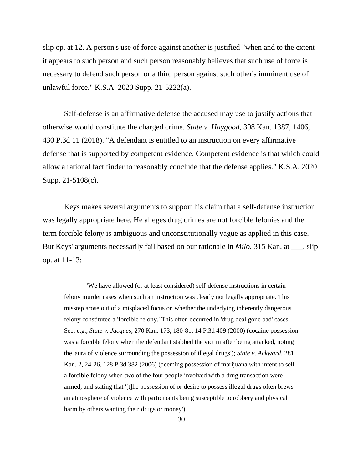slip op. at 12. A person's use of force against another is justified "when and to the extent it appears to such person and such person reasonably believes that such use of force is necessary to defend such person or a third person against such other's imminent use of unlawful force." K.S.A. 2020 Supp. 21-5222(a).

Self-defense is an affirmative defense the accused may use to justify actions that otherwise would constitute the charged crime. *State v. Haygood*, 308 Kan. 1387, 1406, 430 P.3d 11 (2018). "A defendant is entitled to an instruction on every affirmative defense that is supported by competent evidence. Competent evidence is that which could allow a rational fact finder to reasonably conclude that the defense applies." K.S.A. 2020 Supp. 21-5108(c).

Keys makes several arguments to support his claim that a self-defense instruction was legally appropriate here. He alleges drug crimes are not forcible felonies and the term forcible felony is ambiguous and unconstitutionally vague as applied in this case. But Keys' arguments necessarily fail based on our rationale in *Milo*, 315 Kan. at \_\_\_, slip op. at 11-13:

"We have allowed (or at least considered) self-defense instructions in certain felony murder cases when such an instruction was clearly not legally appropriate. This misstep arose out of a misplaced focus on whether the underlying inherently dangerous felony constituted a 'forcible felony.' This often occurred in 'drug deal gone bad' cases. See, e.g., *State v. Jacques*, 270 Kan. 173, 180-81, 14 P.3d 409 (2000) (cocaine possession was a forcible felony when the defendant stabbed the victim after being attacked, noting the 'aura of violence surrounding the possession of illegal drugs'); *State v. Ackward*, 281 Kan. 2, 24-26, 128 P.3d 382 (2006) (deeming possession of marijuana with intent to sell a forcible felony when two of the four people involved with a drug transaction were armed, and stating that '[t]he possession of or desire to possess illegal drugs often brews an atmosphere of violence with participants being susceptible to robbery and physical harm by others wanting their drugs or money').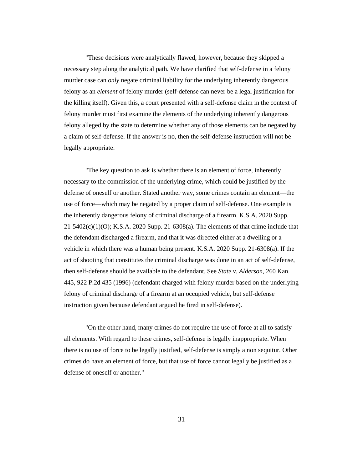"These decisions were analytically flawed, however, because they skipped a necessary step along the analytical path. We have clarified that self-defense in a felony murder case can *only* negate criminal liability for the underlying inherently dangerous felony as an *element* of felony murder (self-defense can never be a legal justification for the killing itself). Given this, a court presented with a self-defense claim in the context of felony murder must first examine the elements of the underlying inherently dangerous felony alleged by the state to determine whether any of those elements can be negated by a claim of self-defense. If the answer is no, then the self-defense instruction will not be legally appropriate.

"The key question to ask is whether there is an element of force, inherently necessary to the commission of the underlying crime, which could be justified by the defense of oneself or another. Stated another way, some crimes contain an element—the use of force—which may be negated by a proper claim of self-defense. One example is the inherently dangerous felony of criminal discharge of a firearm. K.S.A. 2020 Supp.  $21-5402(c)(1)(O)$ ; K.S.A. 2020 Supp. 21-6308(a). The elements of that crime include that the defendant discharged a firearm, and that it was directed either at a dwelling or a vehicle in which there was a human being present. K.S.A. 2020 Supp. 21-6308(a). If the act of shooting that constitutes the criminal discharge was done in an act of self-defense, then self-defense should be available to the defendant. See *State v. Alderson*, 260 Kan. 445, 922 P.2d 435 (1996) (defendant charged with felony murder based on the underlying felony of criminal discharge of a firearm at an occupied vehicle, but self-defense instruction given because defendant argued he fired in self-defense).

"On the other hand, many crimes do not require the use of force at all to satisfy all elements. With regard to these crimes, self-defense is legally inappropriate. When there is no use of force to be legally justified, self-defense is simply a non sequitur. Other crimes do have an element of force, but that use of force cannot legally be justified as a defense of oneself or another."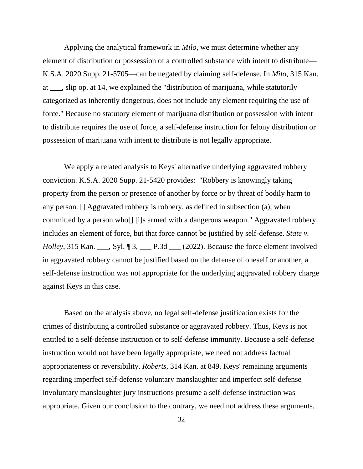Applying the analytical framework in *Milo*, we must determine whether any element of distribution or possession of a controlled substance with intent to distribute— K.S.A. 2020 Supp. 21-5705—can be negated by claiming self-defense. In *Milo*, 315 Kan. at \_\_\_, slip op. at 14, we explained the "distribution of marijuana, while statutorily categorized as inherently dangerous, does not include any element requiring the use of force." Because no statutory element of marijuana distribution or possession with intent to distribute requires the use of force, a self-defense instruction for felony distribution or possession of marijuana with intent to distribute is not legally appropriate.

We apply a related analysis to Keys' alternative underlying aggravated robbery conviction. K.S.A. 2020 Supp. 21-5420 provides: "Robbery is knowingly taking property from the person or presence of another by force or by threat of bodily harm to any person. [] Aggravated robbery is robbery, as defined in subsection (a), when committed by a person who[] [i]s armed with a dangerous weapon." Aggravated robbery includes an element of force, but that force cannot be justified by self-defense. *State v. Holley*, 315 Kan. \_\_\_, Syl. ¶ 3, \_\_\_ P.3d \_\_\_ (2022). Because the force element involved in aggravated robbery cannot be justified based on the defense of oneself or another, a self-defense instruction was not appropriate for the underlying aggravated robbery charge against Keys in this case.

Based on the analysis above, no legal self-defense justification exists for the crimes of distributing a controlled substance or aggravated robbery. Thus, Keys is not entitled to a self-defense instruction or to self-defense immunity. Because a self-defense instruction would not have been legally appropriate, we need not address factual appropriateness or reversibility. *Roberts*, 314 Kan. at 849. Keys' remaining arguments regarding imperfect self-defense voluntary manslaughter and imperfect self-defense involuntary manslaughter jury instructions presume a self-defense instruction was appropriate. Given our conclusion to the contrary, we need not address these arguments.